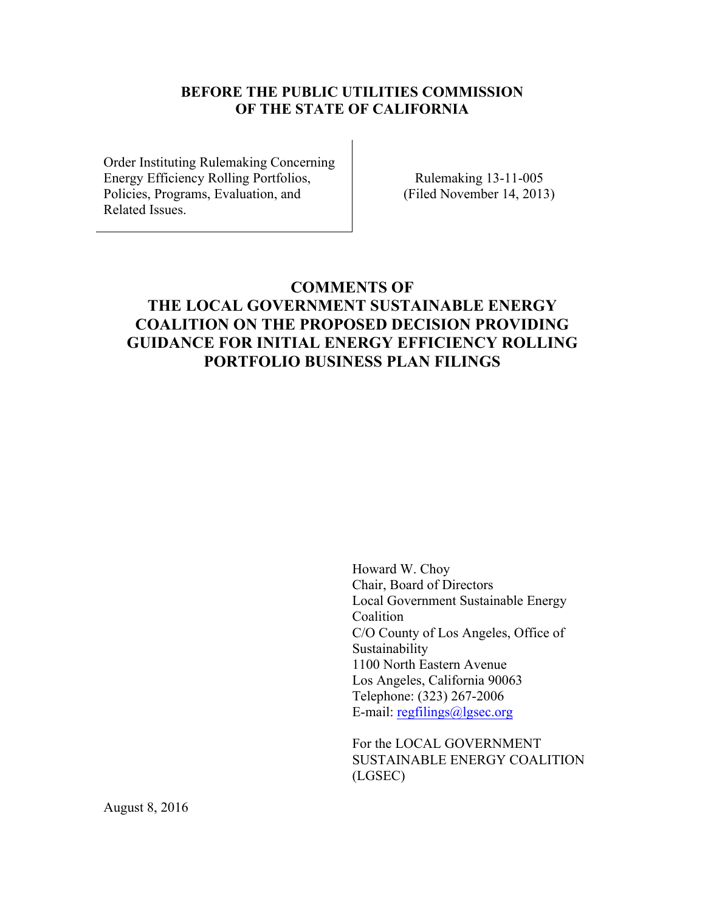### **BEFORE THE PUBLIC UTILITIES COMMISSION OF THE STATE OF CALIFORNIA**

Order Instituting Rulemaking Concerning Energy Efficiency Rolling Portfolios, Policies, Programs, Evaluation, and Related Issues.

Rulemaking 13-11-005 (Filed November 14, 2013)

# **COMMENTS OF THE LOCAL GOVERNMENT SUSTAINABLE ENERGY COALITION ON THE PROPOSED DECISION PROVIDING GUIDANCE FOR INITIAL ENERGY EFFICIENCY ROLLING PORTFOLIO BUSINESS PLAN FILINGS**

 Howard W. Choy Chair, Board of Directors Local Government Sustainable Energy Coalition C/O County of Los Angeles, Office of Sustainability 1100 North Eastern Avenue Los Angeles, California 90063 Telephone: (323) 267-2006 E-mail: regfilings@lgsec.org

For the LOCAL GOVERNMENT SUSTAINABLE ENERGY COALITION (LGSEC)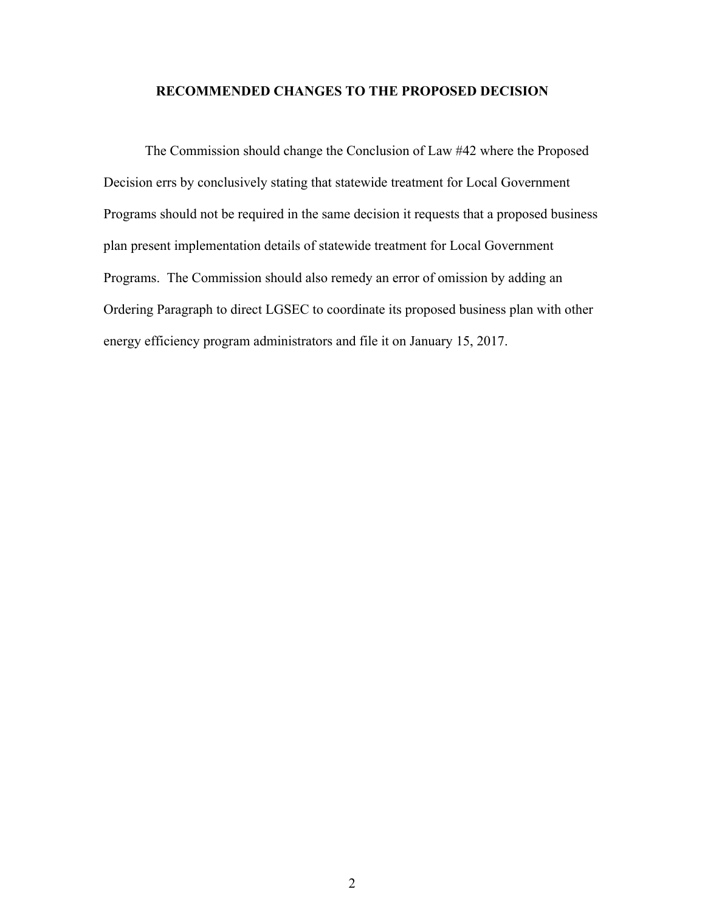#### **RECOMMENDED CHANGES TO THE PROPOSED DECISION**

The Commission should change the Conclusion of Law #42 where the Proposed Decision errs by conclusively stating that statewide treatment for Local Government Programs should not be required in the same decision it requests that a proposed business plan present implementation details of statewide treatment for Local Government Programs. The Commission should also remedy an error of omission by adding an Ordering Paragraph to direct LGSEC to coordinate its proposed business plan with other energy efficiency program administrators and file it on January 15, 2017.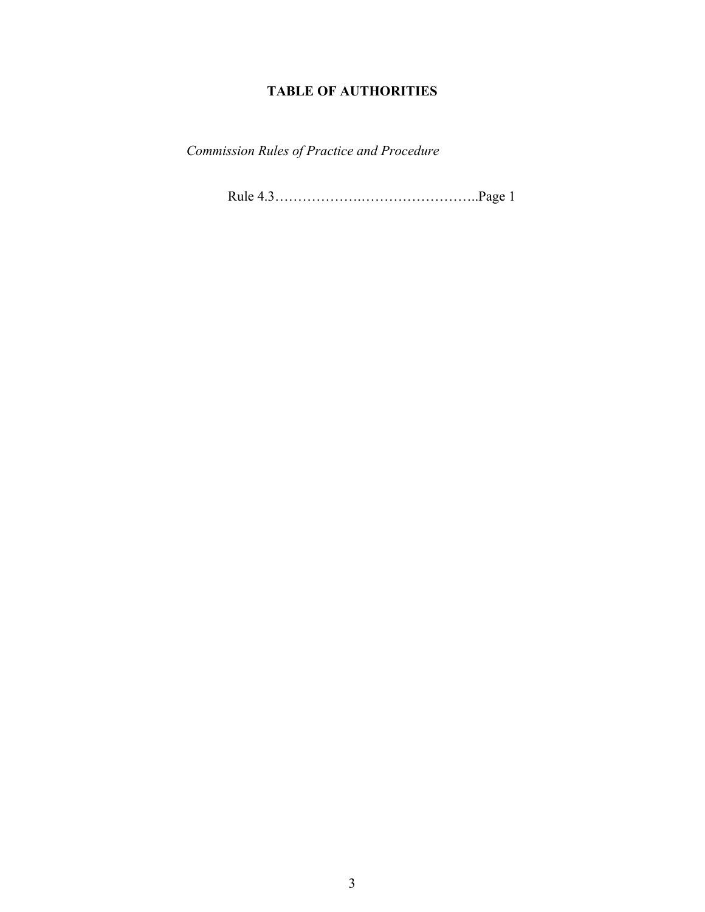### **TABLE OF AUTHORITIES**

*Commission Rules of Practice and Procedure* 

Rule 4.3……………….……………………..Page 1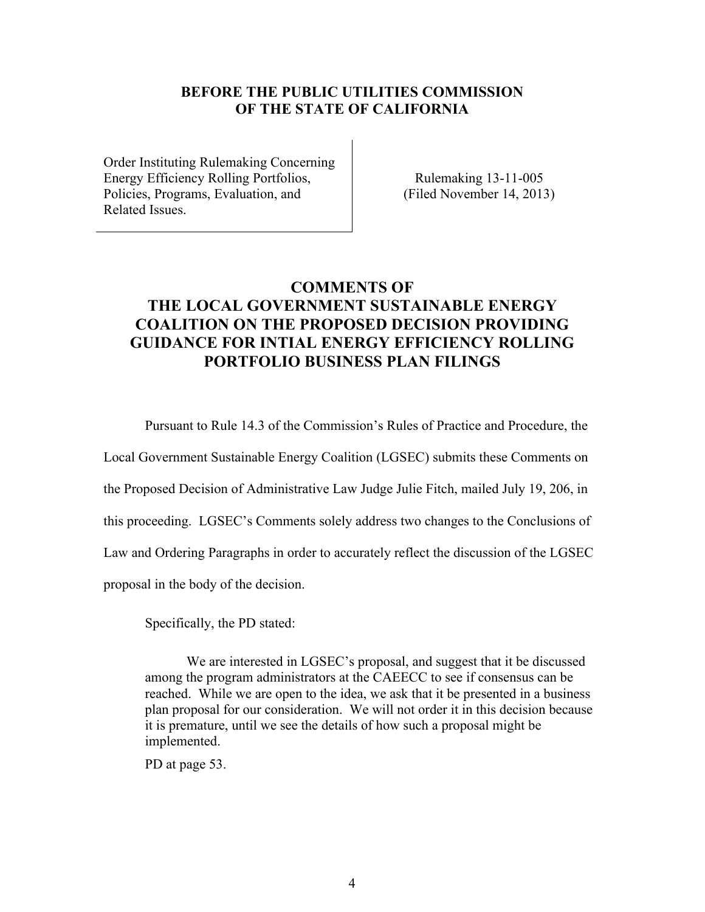#### **BEFORE THE PUBLIC UTILITIES COMMISSION OF THE STATE OF CALIFORNIA**

Order Instituting Rulemaking Concerning Energy Efficiency Rolling Portfolios, Policies, Programs, Evaluation, and Related Issues.

Rulemaking 13-11-005 (Filed November 14, 2013)

## **COMMENTS OF THE LOCAL GOVERNMENT SUSTAINABLE ENERGY COALITION ON THE PROPOSED DECISION PROVIDING GUIDANCE FOR INTIAL ENERGY EFFICIENCY ROLLING PORTFOLIO BUSINESS PLAN FILINGS**

Pursuant to Rule 14.3 of the Commission's Rules of Practice and Procedure, the

Local Government Sustainable Energy Coalition (LGSEC) submits these Comments on the Proposed Decision of Administrative Law Judge Julie Fitch, mailed July 19, 206, in this proceeding. LGSEC's Comments solely address two changes to the Conclusions of Law and Ordering Paragraphs in order to accurately reflect the discussion of the LGSEC proposal in the body of the decision.

Specifically, the PD stated:

We are interested in LGSEC's proposal, and suggest that it be discussed among the program administrators at the CAEECC to see if consensus can be reached. While we are open to the idea, we ask that it be presented in a business plan proposal for our consideration. We will not order it in this decision because it is premature, until we see the details of how such a proposal might be implemented.

PD at page 53.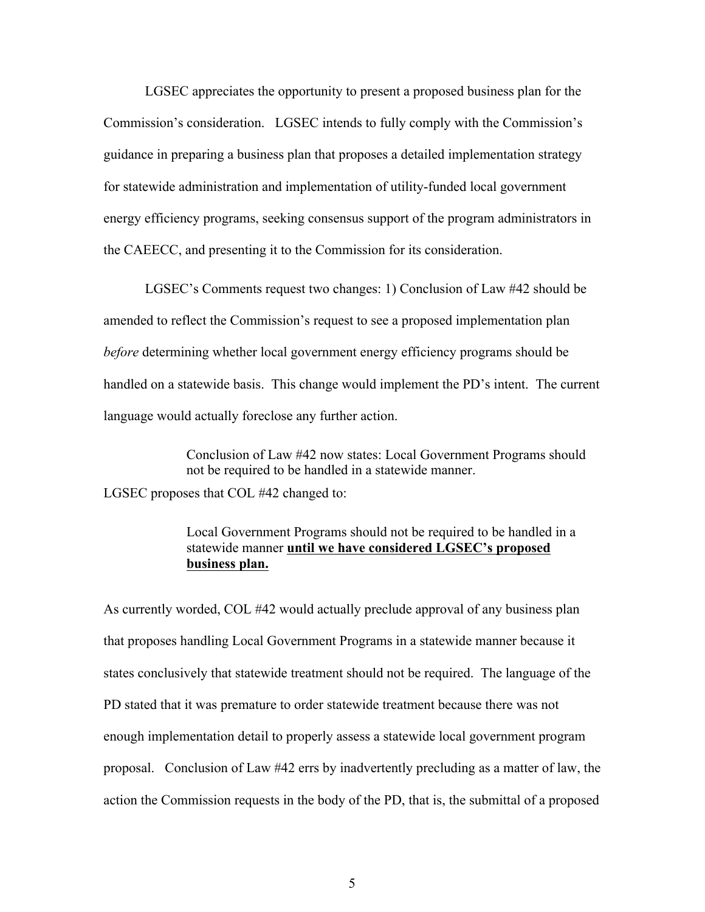LGSEC appreciates the opportunity to present a proposed business plan for the Commission's consideration. LGSEC intends to fully comply with the Commission's guidance in preparing a business plan that proposes a detailed implementation strategy for statewide administration and implementation of utility-funded local government energy efficiency programs, seeking consensus support of the program administrators in the CAEECC, and presenting it to the Commission for its consideration.

 LGSEC's Comments request two changes: 1) Conclusion of Law #42 should be amended to reflect the Commission's request to see a proposed implementation plan *before* determining whether local government energy efficiency programs should be handled on a statewide basis. This change would implement the PD's intent. The current language would actually foreclose any further action.

Conclusion of Law #42 now states: Local Government Programs should not be required to be handled in a statewide manner.

LGSEC proposes that COL #42 changed to:

#### Local Government Programs should not be required to be handled in a statewide manner **until we have considered LGSEC's proposed business plan.**

As currently worded, COL #42 would actually preclude approval of any business plan that proposes handling Local Government Programs in a statewide manner because it states conclusively that statewide treatment should not be required. The language of the PD stated that it was premature to order statewide treatment because there was not enough implementation detail to properly assess a statewide local government program proposal. Conclusion of Law #42 errs by inadvertently precluding as a matter of law, the action the Commission requests in the body of the PD, that is, the submittal of a proposed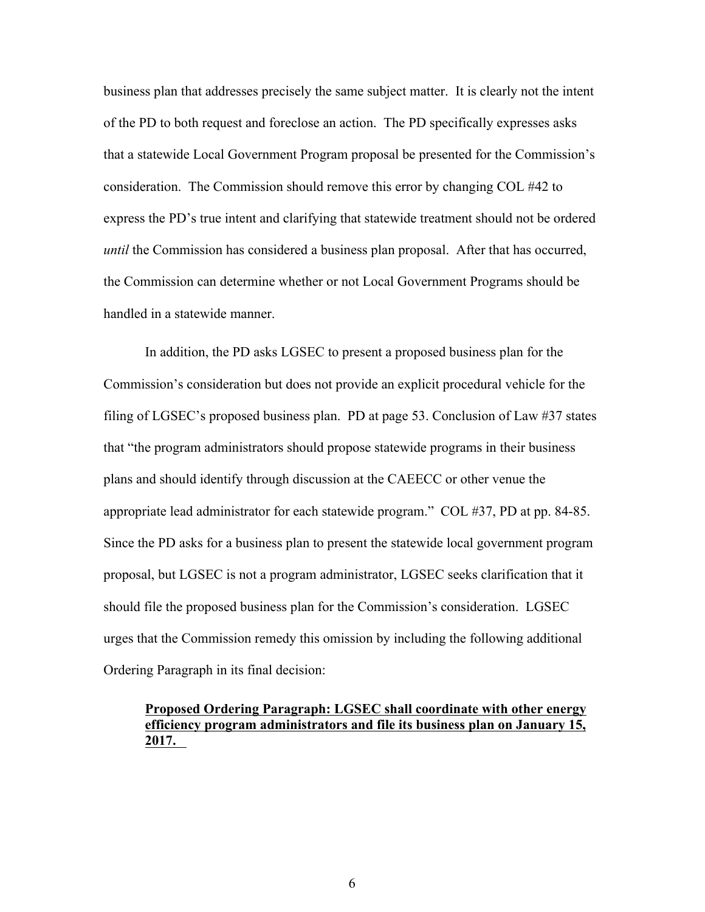business plan that addresses precisely the same subject matter. It is clearly not the intent of the PD to both request and foreclose an action. The PD specifically expresses asks that a statewide Local Government Program proposal be presented for the Commission's consideration. The Commission should remove this error by changing COL #42 to express the PD's true intent and clarifying that statewide treatment should not be ordered *until* the Commission has considered a business plan proposal. After that has occurred, the Commission can determine whether or not Local Government Programs should be handled in a statewide manner.

In addition, the PD asks LGSEC to present a proposed business plan for the Commission's consideration but does not provide an explicit procedural vehicle for the filing of LGSEC's proposed business plan. PD at page 53. Conclusion of Law #37 states that "the program administrators should propose statewide programs in their business plans and should identify through discussion at the CAEECC or other venue the appropriate lead administrator for each statewide program." COL #37, PD at pp. 84-85. Since the PD asks for a business plan to present the statewide local government program proposal, but LGSEC is not a program administrator, LGSEC seeks clarification that it should file the proposed business plan for the Commission's consideration. LGSEC urges that the Commission remedy this omission by including the following additional Ordering Paragraph in its final decision:

#### **Proposed Ordering Paragraph: LGSEC shall coordinate with other energy efficiency program administrators and file its business plan on January 15, 2017.**

6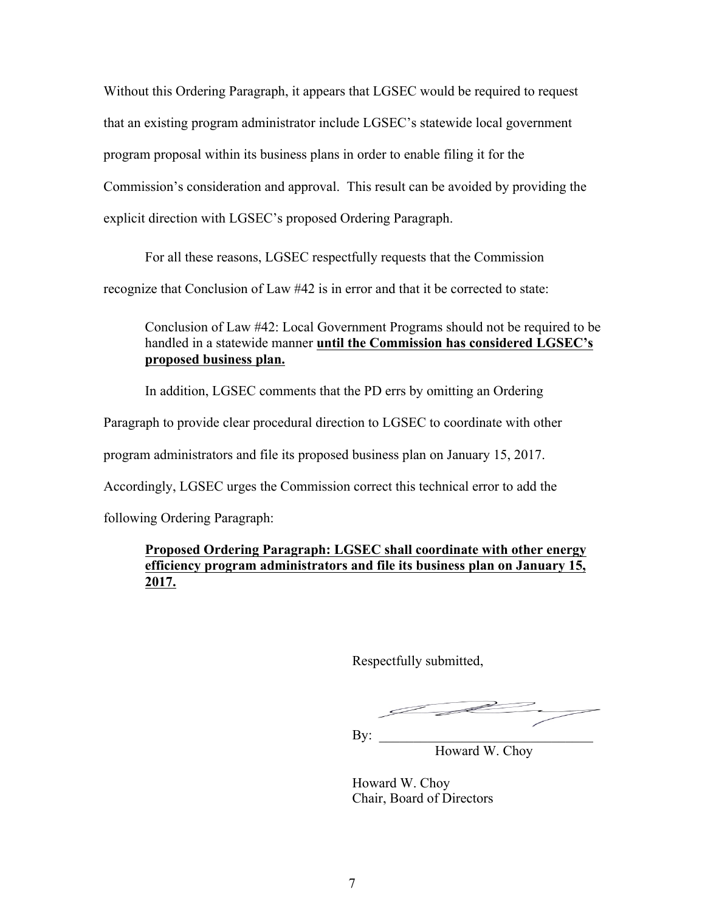Without this Ordering Paragraph, it appears that LGSEC would be required to request that an existing program administrator include LGSEC's statewide local government program proposal within its business plans in order to enable filing it for the Commission's consideration and approval. This result can be avoided by providing the explicit direction with LGSEC's proposed Ordering Paragraph.

For all these reasons, LGSEC respectfully requests that the Commission

recognize that Conclusion of Law #42 is in error and that it be corrected to state:

Conclusion of Law #42: Local Government Programs should not be required to be handled in a statewide manner **until the Commission has considered LGSEC's proposed business plan.** 

In addition, LGSEC comments that the PD errs by omitting an Ordering

Paragraph to provide clear procedural direction to LGSEC to coordinate with other

program administrators and file its proposed business plan on January 15, 2017.

Accordingly, LGSEC urges the Commission correct this technical error to add the

following Ordering Paragraph:

### **Proposed Ordering Paragraph: LGSEC shall coordinate with other energy efficiency program administrators and file its business plan on January 15, 2017.**

Respectfully submitted,

 $Bv:$ 

Howard W. Choy

 Howard W. Choy Chair, Board of Directors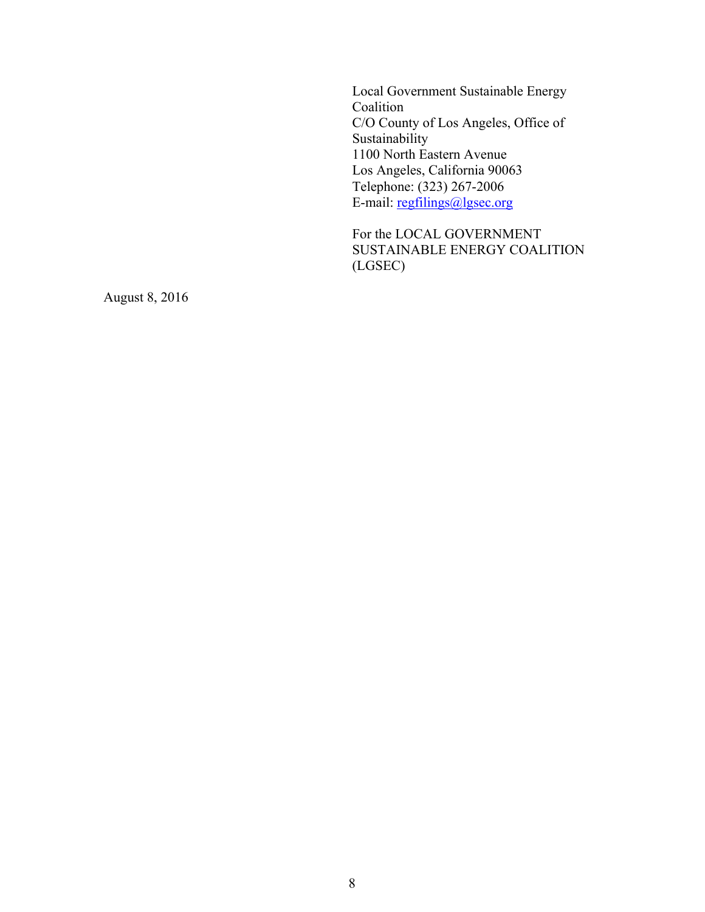Local Government Sustainable Energy Coalition C/O County of Los Angeles, Office of Sustainability 1100 North Eastern Avenue Los Angeles, California 90063 Telephone: (323) 267-2006 E-mail: regfilings@lgsec.org

For the LOCAL GOVERNMENT SUSTAINABLE ENERGY COALITION (LGSEC)

August 8, 2016